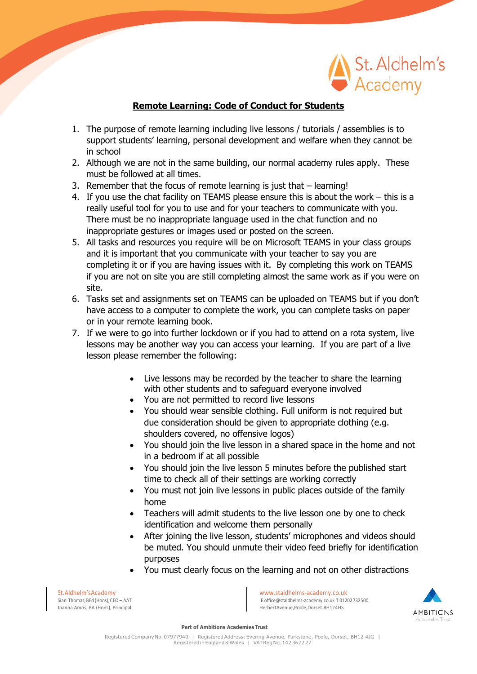

## **Remote Learning: Code of Conduct for Students**

- 1. The purpose of remote learning including live lessons / tutorials / assemblies is to support students' learning, personal development and welfare when they cannot be in school
- 2. Although we are not in the same building, our normal academy rules apply. These must be followed at all times.
- 3. Remember that the focus of remote learning is just that learning!
- 4. If you use the chat facility on TEAMS please ensure this is about the work this is a really useful tool for you to use and for your teachers to communicate with you. There must be no inappropriate language used in the chat function and no inappropriate gestures or images used or posted on the screen.
- 5. All tasks and resources you require will be on Microsoft TEAMS in your class groups and it is important that you communicate with your teacher to say you are completing it or if you are having issues with it. By completing this work on TEAMS if you are not on site you are still completing almost the same work as if you were on site.
- 6. Tasks set and assignments set on TEAMS can be uploaded on TEAMS but if you don't have access to a computer to complete the work, you can complete tasks on paper or in your remote learning book.
- 7. If we were to go into further lockdown or if you had to attend on a rota system, live lessons may be another way you can access your learning. If you are part of a live lesson please remember the following:
	- Live lessons may be recorded by the teacher to share the learning with other students and to safeguard everyone involved
	- You are not permitted to record live lessons
	- You should wear sensible clothing. Full uniform is not required but due consideration should be given to appropriate clothing (e.g. shoulders covered, no offensive logos)
	- You should join the live lesson in a shared space in the home and not in a bedroom if at all possible
	- You should join the live lesson 5 minutes before the published start time to check all of their settings are working correctly
	- You must not join live lessons in public places outside of the family home
	- Teachers will admit students to the live lesson one by one to check identification and welcome them personally
	- After joining the live lesson, students' microphones and videos should be muted. You should unmute their video feed briefly for identification purposes
	- You must clearly focus on the learning and not on other distractions

Joanna Amos, BA (Hons), Principal

St.Aldhelm'sAcademy<br>Sian Thomas.BEd (Hons).CEO – AAT Sian Thomas.BEd (Hons).CEO – AAT Sian Thomas.BEd (Hons).CEO – AAT E [office@staldhelms-academy.co.uk](mailto:office@staldhelms-academy.co.uk) **T** 01202732500<br>Herbert Avenue.Poole.Dorset.BH124HS



**Part of Ambitions Academies Trust**